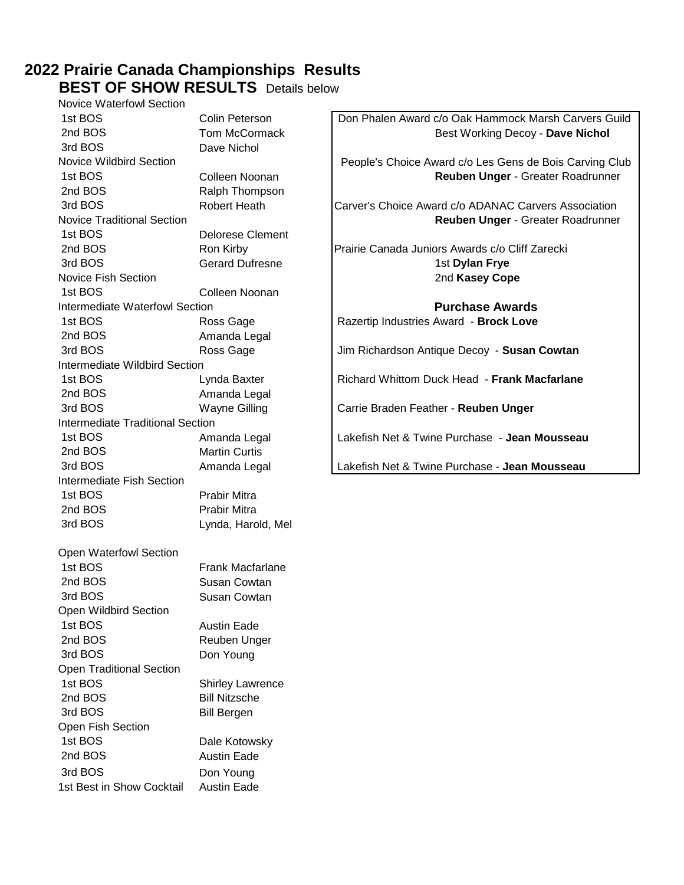# **2022 Prairie Canada Championships Results**

**BEST OF SHOW RESULTS** Details below Novice Waterfowl Section

| <b>INUVILE VVALEITUWI JELIUIT</b>     |                         |                                                         |
|---------------------------------------|-------------------------|---------------------------------------------------------|
| 1st BOS                               | Colin Peterson          | Don Phalen Award c/o Oak Hammock Marsh Carvers Guild    |
| 2nd BOS                               | Tom McCormack           | Best Working Decoy - Dave Nichol                        |
| 3rd BOS                               | Dave Nichol             |                                                         |
| <b>Novice Wildbird Section</b>        |                         | People's Choice Award c/o Les Gens de Bois Carving Club |
| 1st BOS                               | Colleen Noonan          | Reuben Unger - Greater Roadrunner                       |
| 2nd BOS                               | Ralph Thompson          |                                                         |
| 3rd BOS                               | <b>Robert Heath</b>     | Carver's Choice Award c/o ADANAC Carvers Association    |
| <b>Novice Traditional Section</b>     |                         | Reuben Unger - Greater Roadrunner                       |
| 1st BOS                               | <b>Delorese Clement</b> |                                                         |
| 2nd BOS                               | Ron Kirby               | Prairie Canada Juniors Awards c/o Cliff Zarecki         |
| 3rd BOS                               | <b>Gerard Dufresne</b>  | 1st Dylan Frye                                          |
| <b>Novice Fish Section</b>            |                         | 2nd Kasey Cope                                          |
| 1st BOS                               |                         |                                                         |
|                                       | Colleen Noonan          |                                                         |
| <b>Intermediate Waterfowl Section</b> |                         | <b>Purchase Awards</b>                                  |
| 1st BOS                               | Ross Gage               | Razertip Industries Award - Brock Love                  |
| 2nd BOS                               | Amanda Legal            |                                                         |
| 3rd BOS                               | Ross Gage               | Jim Richardson Antique Decoy - Susan Cowtan             |
| <b>Intermediate Wildbird Section</b>  |                         |                                                         |
| 1st BOS                               | Lynda Baxter            | Richard Whittom Duck Head - Frank Macfarlane            |
| 2nd BOS                               | Amanda Legal            |                                                         |
| 3rd BOS                               | <b>Wayne Gilling</b>    | Carrie Braden Feather - Reuben Unger                    |
| Intermediate Traditional Section      |                         |                                                         |
| 1st BOS                               | Amanda Legal            | Lakefish Net & Twine Purchase - Jean Mousseau           |
| 2nd BOS                               | <b>Martin Curtis</b>    |                                                         |
| 3rd BOS                               | Amanda Legal            | Lakefish Net & Twine Purchase - Jean Mousseau           |
| Intermediate Fish Section             |                         |                                                         |
| 1st BOS                               | Prabir Mitra            |                                                         |
| 2nd BOS                               | Prabir Mitra            |                                                         |
| 3rd BOS                               | Lynda, Harold, Mel      |                                                         |
|                                       |                         |                                                         |
| <b>Open Waterfowl Section</b>         |                         |                                                         |
| 1st BOS                               | <b>Frank Macfarlane</b> |                                                         |
| 2nd BOS                               | Susan Cowtan            |                                                         |
| 3rd BOS                               | Susan Cowtan            |                                                         |
| Open Wildbird Section                 |                         |                                                         |
| 1st BOS                               | <b>Austin Eade</b>      |                                                         |
| 2nd BOS                               | Reuben Unger            |                                                         |
| 3rd BOS                               | Don Young               |                                                         |
| <b>Open Traditional Section</b>       |                         |                                                         |
| 1st BOS                               | <b>Shirley Lawrence</b> |                                                         |
| 2nd BOS                               | <b>Bill Nitzsche</b>    |                                                         |
| 3rd BOS                               | <b>Bill Bergen</b>      |                                                         |
| Open Fish Section                     |                         |                                                         |
| 1st BOS                               | Dale Kotowsky           |                                                         |
| 2nd BOS                               | <b>Austin Eade</b>      |                                                         |
|                                       |                         |                                                         |
| 3rd BOS                               | Don Young               |                                                         |
| 1st Best in Show Cocktail             | Austin Eade             |                                                         |
|                                       |                         |                                                         |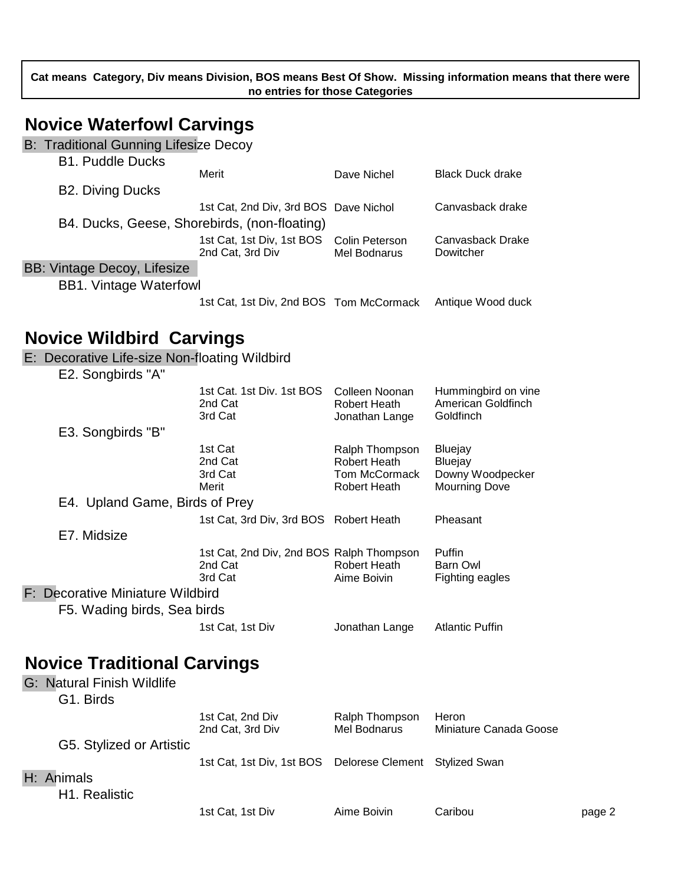**Cat means Category, Div means Division, BOS means Best Of Show. Missing information means that there were no entries for those Categories**

### **Novice Waterfowl Carvings**

B: Traditional Gunning Lifesize Decoy

| <b>B1. Puddle Ducks</b>       |                                              |              |                         |
|-------------------------------|----------------------------------------------|--------------|-------------------------|
|                               | Merit                                        | Dave Nichel  | <b>Black Duck drake</b> |
| <b>B2. Diving Ducks</b>       |                                              |              |                         |
|                               | 1st Cat, 2nd Div, 3rd BOS Dave Nichol        |              | Canvasback drake        |
|                               | B4. Ducks, Geese, Shorebirds, (non-floating) |              |                         |
|                               | 1st Cat, 1st Div, 1st BOS Colin Peterson     |              | Canvasback Drake        |
|                               | 2nd Cat, 3rd Div                             | Mel Bodnarus | Dowitcher               |
| BB: Vintage Decoy, Lifesize   |                                              |              |                         |
| <b>BB1. Vintage Waterfowl</b> |                                              |              |                         |
|                               | 1st Cat, 1st Div, 2nd BOS Tom McCormack      |              | Antique Wood duck       |
|                               |                                              |              |                         |
| Naviga Wildhird Carvings      |                                              |              |                         |

#### **Novice Wildbird Carvings**

E: Decorative Life-size Non-floating Wildbird

| E2. Songbirds "A"                |                                                                |                                                                        |                                                                |
|----------------------------------|----------------------------------------------------------------|------------------------------------------------------------------------|----------------------------------------------------------------|
|                                  | 1st Cat. 1st Div. 1st BOS<br>2nd Cat<br>3rd Cat                | Colleen Noonan<br>Robert Heath<br>Jonathan Lange                       | Hummingbird on vine<br>American Goldfinch<br>Goldfinch         |
| E3. Songbirds "B"                |                                                                |                                                                        |                                                                |
|                                  | 1st Cat<br>2nd Cat<br>3rd Cat<br>Merit                         | Ralph Thompson<br>Robert Heath<br>Tom McCormack<br><b>Robert Heath</b> | Bluejay<br>Bluejay<br>Downy Woodpecker<br><b>Mourning Dove</b> |
| E4. Upland Game, Birds of Prey   |                                                                |                                                                        |                                                                |
|                                  | 1st Cat, 3rd Div, 3rd BOS Robert Heath                         |                                                                        | Pheasant                                                       |
| E7. Midsize                      |                                                                |                                                                        |                                                                |
|                                  | 1st Cat, 2nd Div, 2nd BOS Ralph Thompson<br>2nd Cat<br>3rd Cat | Robert Heath<br>Aime Boivin                                            | <b>Puffin</b><br>Barn Owl<br>Fighting eagles                   |
| F: Decorative Miniature Wildbird |                                                                |                                                                        |                                                                |
| F5. Wading birds, Sea birds      |                                                                |                                                                        |                                                                |
|                                  | 1st Cat, 1st Div                                               | Jonathan Lange                                                         | <b>Atlantic Puffin</b>                                         |

### **Novice Traditional Carvings**

G: Natural Finish Wildlife G1. Birds 1st Cat, 2nd Div Ralph Thompson Heron 2nd Cat, 3rd Div Mel Bodnarus Miniature Canada Goose G5. Stylized or Artistic 1st Cat, 1st Div, 1st BOS Delorese Clement Stylized Swan H: Animals

H1. Realistic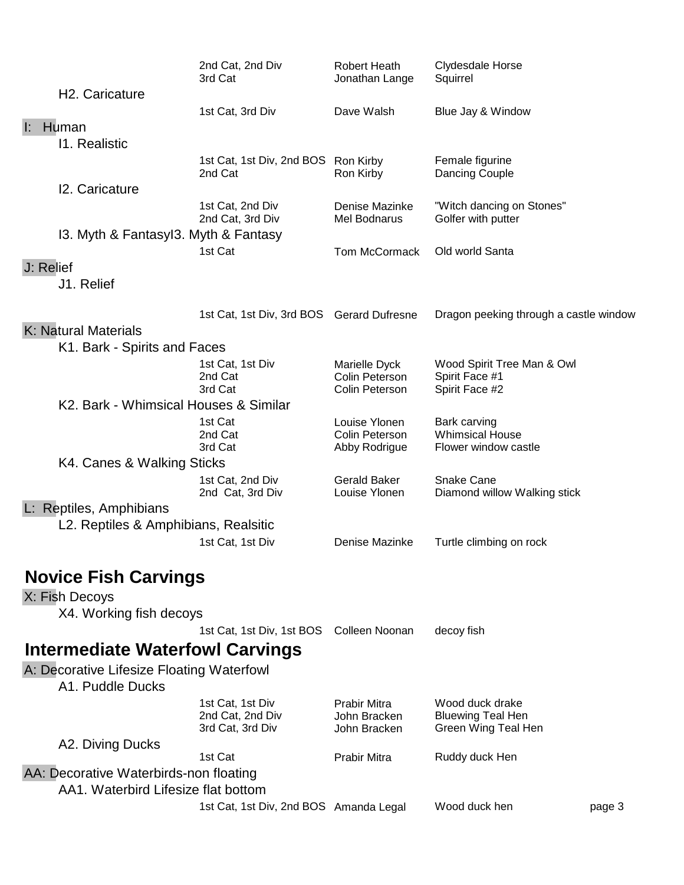|           |                                                               | 2nd Cat, 2nd Div<br>3rd Cat                              | <b>Robert Heath</b><br>Jonathan Lange               | Clydesdale Horse<br>Squirrel                                       |        |
|-----------|---------------------------------------------------------------|----------------------------------------------------------|-----------------------------------------------------|--------------------------------------------------------------------|--------|
|           | H <sub>2</sub> . Caricature                                   |                                                          |                                                     |                                                                    |        |
|           |                                                               | 1st Cat, 3rd Div                                         | Dave Walsh                                          | Blue Jay & Window                                                  |        |
| Ŀ.        | Human                                                         |                                                          |                                                     |                                                                    |        |
|           | 11. Realistic                                                 |                                                          |                                                     |                                                                    |        |
|           |                                                               | 1st Cat, 1st Div, 2nd BOS Ron Kirby<br>2nd Cat           | Ron Kirby                                           | Female figurine<br>Dancing Couple                                  |        |
|           | 12. Caricature                                                |                                                          |                                                     |                                                                    |        |
|           |                                                               | 1st Cat, 2nd Div<br>2nd Cat, 3rd Div                     | Denise Mazinke<br><b>Mel Bodnarus</b>               | "Witch dancing on Stones"<br>Golfer with putter                    |        |
|           | 13. Myth & Fantasyl3. Myth & Fantasy                          |                                                          |                                                     |                                                                    |        |
|           |                                                               | 1st Cat                                                  | Tom McCormack                                       | Old world Santa                                                    |        |
| J: Relief |                                                               |                                                          |                                                     |                                                                    |        |
|           | J1. Relief                                                    |                                                          |                                                     |                                                                    |        |
|           | K: Natural Materials                                          | 1st Cat, 1st Div, 3rd BOS                                | <b>Gerard Dufresne</b>                              | Dragon peeking through a castle window                             |        |
|           | K1. Bark - Spirits and Faces                                  |                                                          |                                                     |                                                                    |        |
|           |                                                               | 1st Cat, 1st Div                                         | Marielle Dyck                                       | Wood Spirit Tree Man & Owl                                         |        |
|           |                                                               | 2nd Cat<br>3rd Cat                                       | Colin Peterson<br>Colin Peterson                    | Spirit Face #1<br>Spirit Face #2                                   |        |
|           | K2. Bark - Whimsical Houses & Similar                         |                                                          |                                                     |                                                                    |        |
|           |                                                               | 1st Cat<br>2nd Cat                                       | Louise Ylonen<br>Colin Peterson                     | Bark carving<br><b>Whimsical House</b>                             |        |
|           |                                                               | 3rd Cat                                                  | Abby Rodrigue                                       | Flower window castle                                               |        |
|           | K4. Canes & Walking Sticks                                    |                                                          |                                                     |                                                                    |        |
|           |                                                               | 1st Cat, 2nd Div<br>2nd Cat, 3rd Div                     | <b>Gerald Baker</b><br>Louise Ylonen                | Snake Cane<br>Diamond willow Walking stick                         |        |
|           | L: Reptiles, Amphibians                                       |                                                          |                                                     |                                                                    |        |
|           | L2. Reptiles & Amphibians, Realsitic                          |                                                          |                                                     |                                                                    |        |
|           |                                                               | 1st Cat, 1st Div                                         | Denise Mazinke                                      | Turtle climbing on rock                                            |        |
|           | <b>Novice Fish Carvings</b>                                   |                                                          |                                                     |                                                                    |        |
|           | X: Fish Decoys                                                |                                                          |                                                     |                                                                    |        |
|           | X4. Working fish decoys                                       |                                                          |                                                     |                                                                    |        |
|           |                                                               | 1st Cat, 1st Div, 1st BOS                                | Colleen Noonan                                      | decoy fish                                                         |        |
|           | <b>Intermediate Waterfowl Carvings</b>                        |                                                          |                                                     |                                                                    |        |
|           | A: Decorative Lifesize Floating Waterfowl<br>A1. Puddle Ducks |                                                          |                                                     |                                                                    |        |
|           |                                                               | 1st Cat, 1st Div<br>2nd Cat, 2nd Div<br>3rd Cat, 3rd Div | <b>Prabir Mitra</b><br>John Bracken<br>John Bracken | Wood duck drake<br><b>Bluewing Teal Hen</b><br>Green Wing Teal Hen |        |
|           | A2. Diving Ducks                                              | 1st Cat                                                  | <b>Prabir Mitra</b>                                 | Ruddy duck Hen                                                     |        |
|           | AA: Decorative Waterbirds-non floating                        |                                                          |                                                     |                                                                    |        |
|           | AA1. Waterbird Lifesize flat bottom                           |                                                          |                                                     |                                                                    |        |
|           |                                                               | 1st Cat, 1st Div, 2nd BOS Amanda Legal                   |                                                     | Wood duck hen                                                      | page 3 |
|           |                                                               |                                                          |                                                     |                                                                    |        |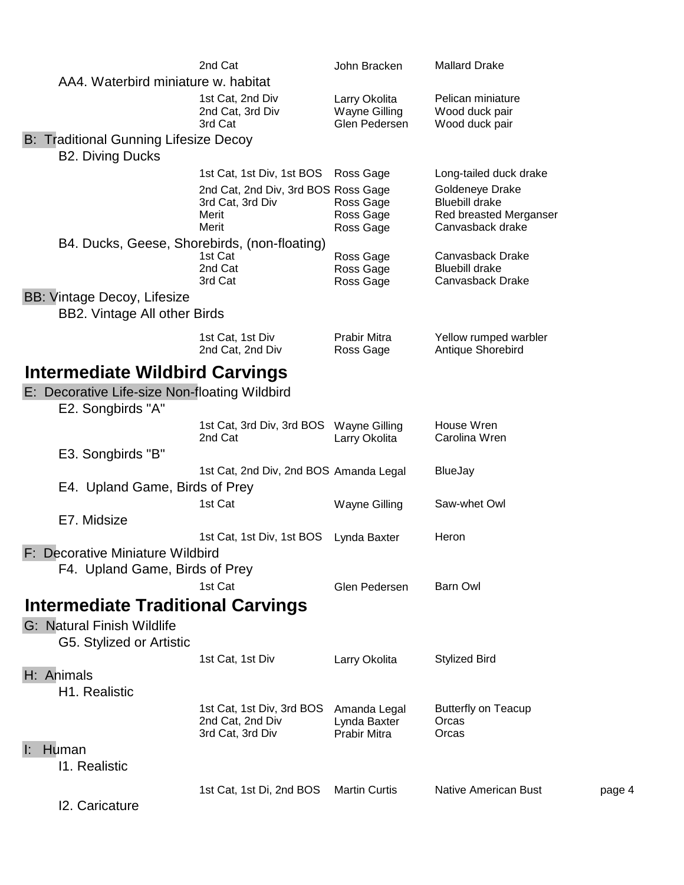|                                                                    | 2nd Cat                                                                   | John Bracken                                        | <b>Mallard Drake</b>                                                                   |        |
|--------------------------------------------------------------------|---------------------------------------------------------------------------|-----------------------------------------------------|----------------------------------------------------------------------------------------|--------|
| AA4. Waterbird miniature w. habitat                                |                                                                           |                                                     |                                                                                        |        |
|                                                                    | 1st Cat, 2nd Div<br>2nd Cat, 3rd Div<br>3rd Cat                           | Larry Okolita<br>Wayne Gilling<br>Glen Pedersen     | Pelican miniature<br>Wood duck pair<br>Wood duck pair                                  |        |
| <b>B: Traditional Gunning Lifesize Decoy</b>                       |                                                                           |                                                     |                                                                                        |        |
| <b>B2. Diving Ducks</b>                                            |                                                                           |                                                     |                                                                                        |        |
|                                                                    | 1st Cat, 1st Div, 1st BOS Ross Gage                                       |                                                     | Long-tailed duck drake                                                                 |        |
|                                                                    | 2nd Cat, 2nd Div, 3rd BOS Ross Gage<br>3rd Cat, 3rd Div<br>Merit<br>Merit | Ross Gage<br>Ross Gage<br>Ross Gage                 | Goldeneye Drake<br><b>Bluebill drake</b><br>Red breasted Merganser<br>Canvasback drake |        |
| B4. Ducks, Geese, Shorebirds, (non-floating)                       |                                                                           |                                                     |                                                                                        |        |
|                                                                    | 1st Cat<br>2nd Cat<br>3rd Cat                                             | Ross Gage<br>Ross Gage<br>Ross Gage                 | Canvasback Drake<br><b>Bluebill drake</b><br>Canvasback Drake                          |        |
| <b>BB: Vintage Decoy, Lifesize</b>                                 |                                                                           |                                                     |                                                                                        |        |
| <b>BB2. Vintage All other Birds</b>                                |                                                                           |                                                     |                                                                                        |        |
|                                                                    | 1st Cat, 1st Div<br>2nd Cat, 2nd Div                                      | Prabir Mitra<br>Ross Gage                           | Yellow rumped warbler<br>Antique Shorebird                                             |        |
| <b>Intermediate Wildbird Carvings</b>                              |                                                                           |                                                     |                                                                                        |        |
| E: Decorative Life-size Non-floating Wildbird<br>E2. Songbirds "A" |                                                                           |                                                     |                                                                                        |        |
|                                                                    | 1st Cat, 3rd Div, 3rd BOS                                                 | Wayne Gilling                                       | House Wren                                                                             |        |
|                                                                    | 2nd Cat                                                                   | Larry Okolita                                       | Carolina Wren                                                                          |        |
| E3. Songbirds "B"<br>E4. Upland Game, Birds of Prey                | 1st Cat, 2nd Div, 2nd BOS Amanda Legal                                    |                                                     | <b>BlueJay</b>                                                                         |        |
|                                                                    | 1st Cat                                                                   | Wayne Gilling                                       | Saw-whet Owl                                                                           |        |
| E7. Midsize                                                        |                                                                           |                                                     |                                                                                        |        |
|                                                                    | 1st Cat, 1st Div, 1st BOS                                                 | Lynda Baxter                                        | Heron                                                                                  |        |
| E: Decorative Miniature Wildbird<br>F4. Upland Game, Birds of Prey |                                                                           |                                                     |                                                                                        |        |
|                                                                    | 1st Cat                                                                   | Glen Pedersen                                       | Barn Owl                                                                               |        |
| <b>Intermediate Traditional Carvings</b>                           |                                                                           |                                                     |                                                                                        |        |
| G: Natural Finish Wildlife<br>G5. Stylized or Artistic             |                                                                           |                                                     |                                                                                        |        |
|                                                                    | 1st Cat, 1st Div                                                          | Larry Okolita                                       | <b>Stylized Bird</b>                                                                   |        |
| H: Animals<br>H1. Realistic                                        |                                                                           |                                                     |                                                                                        |        |
|                                                                    | 1st Cat, 1st Div, 3rd BOS<br>2nd Cat, 2nd Div<br>3rd Cat, 3rd Div         | Amanda Legal<br>Lynda Baxter<br><b>Prabir Mitra</b> | <b>Butterfly on Teacup</b><br>Orcas<br>Orcas                                           |        |
| Human<br>Ŀ.<br>11. Realistic                                       |                                                                           |                                                     |                                                                                        |        |
|                                                                    | 1st Cat, 1st Di, 2nd BOS                                                  | <b>Martin Curtis</b>                                | <b>Native American Bust</b>                                                            | page 4 |
| 12. Caricature                                                     |                                                                           |                                                     |                                                                                        |        |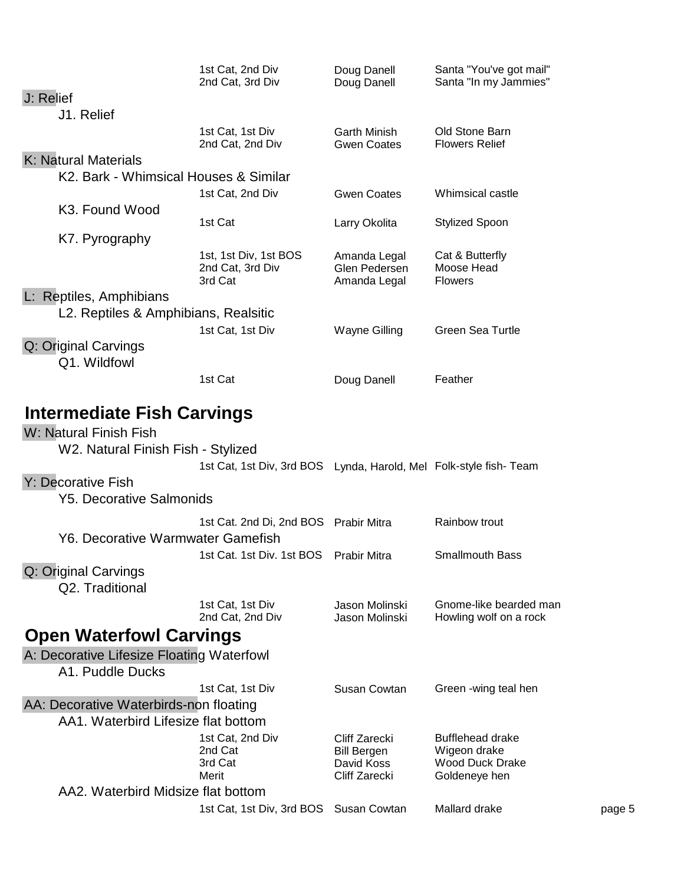|                                           | 1st Cat, 2nd Div<br>2nd Cat, 3rd Div                              | Doug Danell<br>Doug Danell                    | Santa "You've got mail"<br>Santa "In my Jammies" |        |
|-------------------------------------------|-------------------------------------------------------------------|-----------------------------------------------|--------------------------------------------------|--------|
| J: Relief                                 |                                                                   |                                               |                                                  |        |
| J1. Relief                                |                                                                   |                                               |                                                  |        |
|                                           | 1st Cat, 1st Div<br>2nd Cat, 2nd Div                              | <b>Garth Minish</b><br><b>Gwen Coates</b>     | Old Stone Barn<br><b>Flowers Relief</b>          |        |
| K: Natural Materials                      |                                                                   |                                               |                                                  |        |
| K2. Bark - Whimsical Houses & Similar     |                                                                   |                                               |                                                  |        |
|                                           | 1st Cat, 2nd Div                                                  | <b>Gwen Coates</b>                            | Whimsical castle                                 |        |
| K3. Found Wood                            |                                                                   |                                               |                                                  |        |
|                                           | 1st Cat                                                           | Larry Okolita                                 | <b>Stylized Spoon</b>                            |        |
| K7. Pyrography                            | 1st, 1st Div, 1st BOS<br>2nd Cat, 3rd Div<br>3rd Cat              | Amanda Legal<br>Glen Pedersen<br>Amanda Legal | Cat & Butterfly<br>Moose Head<br><b>Flowers</b>  |        |
| L: Reptiles, Amphibians                   |                                                                   |                                               |                                                  |        |
| L2. Reptiles & Amphibians, Realsitic      |                                                                   |                                               |                                                  |        |
|                                           | 1st Cat, 1st Div                                                  | <b>Wayne Gilling</b>                          | <b>Green Sea Turtle</b>                          |        |
| Q: Original Carvings<br>Q1. Wildfowl      |                                                                   |                                               |                                                  |        |
|                                           | 1st Cat                                                           | Doug Danell                                   | Feather                                          |        |
|                                           |                                                                   |                                               |                                                  |        |
| Intermediate Fish Carvings                |                                                                   |                                               |                                                  |        |
| W: Natural Finish Fish                    |                                                                   |                                               |                                                  |        |
| W2. Natural Finish Fish - Stylized        |                                                                   |                                               |                                                  |        |
|                                           | 1st Cat, 1st Div, 3rd BOS Lynda, Harold, Mel Folk-style fish-Team |                                               |                                                  |        |
| Y: Decorative Fish                        |                                                                   |                                               |                                                  |        |
| <b>Y5. Decorative Salmonids</b>           |                                                                   |                                               |                                                  |        |
|                                           | 1st Cat. 2nd Di, 2nd BOS Prabir Mitra                             |                                               | Rainbow trout                                    |        |
| <b>Y6. Decorative Warmwater Gamefish</b>  |                                                                   |                                               |                                                  |        |
|                                           | 1st Cat. 1st Div. 1st BOS                                         | <b>Prabir Mitra</b>                           | Smallmouth Bass                                  |        |
| Q: Original Carvings<br>Q2. Traditional   |                                                                   |                                               |                                                  |        |
|                                           | 1st Cat, 1st Div<br>2nd Cat, 2nd Div                              | Jason Molinski<br>Jason Molinski              | Gnome-like bearded man<br>Howling wolf on a rock |        |
| <b>Open Waterfowl Carvings</b>            |                                                                   |                                               |                                                  |        |
| A: Decorative Lifesize Floating Waterfowl |                                                                   |                                               |                                                  |        |
| A1. Puddle Ducks                          |                                                                   |                                               |                                                  |        |
|                                           | 1st Cat, 1st Div                                                  | Susan Cowtan                                  | Green -wing teal hen                             |        |
| AA: Decorative Waterbirds-non floating    |                                                                   |                                               |                                                  |        |
| AA1. Waterbird Lifesize flat bottom       |                                                                   |                                               |                                                  |        |
|                                           | 1st Cat, 2nd Div<br>2nd Cat                                       | <b>Cliff Zarecki</b><br><b>Bill Bergen</b>    | <b>Bufflehead drake</b><br>Wigeon drake          |        |
|                                           | 3rd Cat                                                           | David Koss                                    | <b>Wood Duck Drake</b>                           |        |
|                                           | Merit                                                             | Cliff Zarecki                                 | Goldeneye hen                                    |        |
| AA2. Waterbird Midsize flat bottom        |                                                                   |                                               |                                                  |        |
|                                           | 1st Cat, 1st Div, 3rd BOS Susan Cowtan                            |                                               | Mallard drake                                    | page 5 |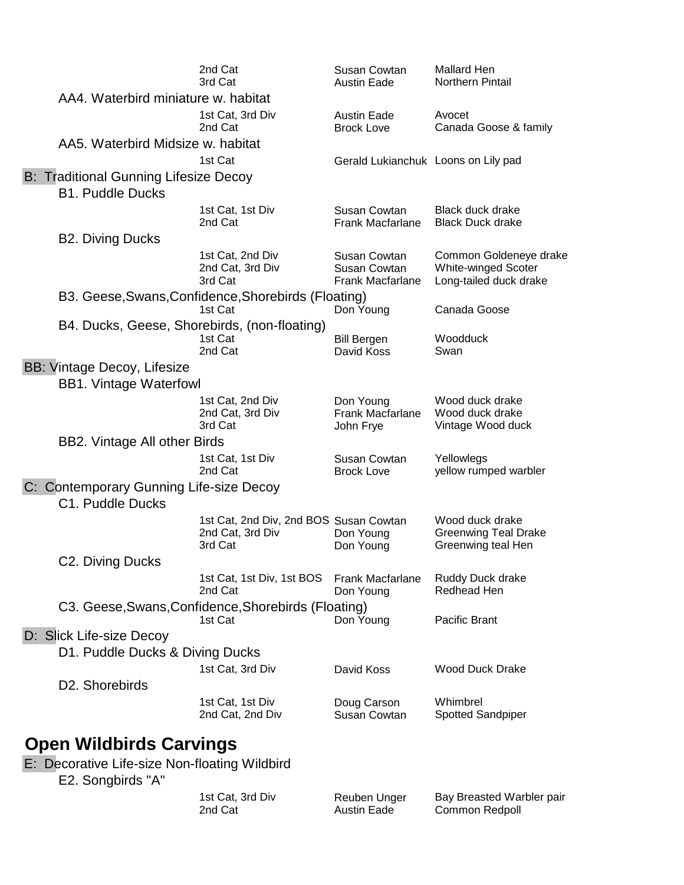|                                                                         | 2nd Cat<br>3rd Cat                                                    | Susan Cowtan<br><b>Austin Eade</b>               | Mallard Hen<br><b>Northern Pintail</b>                                         |
|-------------------------------------------------------------------------|-----------------------------------------------------------------------|--------------------------------------------------|--------------------------------------------------------------------------------|
| AA4. Waterbird miniature w. habitat                                     |                                                                       |                                                  |                                                                                |
|                                                                         | 1st Cat, 3rd Div<br>2nd Cat                                           | <b>Austin Eade</b><br><b>Brock Love</b>          | Avocet<br>Canada Goose & family                                                |
| AA5. Waterbird Midsize w. habitat                                       |                                                                       |                                                  |                                                                                |
|                                                                         | 1st Cat                                                               | Gerald Lukianchuk Loons on Lily pad              |                                                                                |
| <b>B: Traditional Gunning Lifesize Decoy</b><br><b>B1. Puddle Ducks</b> |                                                                       |                                                  |                                                                                |
|                                                                         | 1st Cat, 1st Div<br>2nd Cat                                           | Susan Cowtan<br>Frank Macfarlane                 | Black duck drake<br><b>Black Duck drake</b>                                    |
| <b>B2. Diving Ducks</b>                                                 |                                                                       |                                                  |                                                                                |
|                                                                         | 1st Cat, 2nd Div<br>2nd Cat, 3rd Div<br>3rd Cat                       | Susan Cowtan<br>Susan Cowtan<br>Frank Macfarlane | Common Goldeneye drake<br><b>White-winged Scoter</b><br>Long-tailed duck drake |
|                                                                         | B3. Geese, Swans, Confidence, Shorebirds (Floating)<br>1st Cat        | Don Young                                        | Canada Goose                                                                   |
| B4. Ducks, Geese, Shorebirds, (non-floating)                            | 1st Cat<br>2nd Cat                                                    | <b>Bill Bergen</b><br>David Koss                 | Woodduck<br>Swan                                                               |
| BB: Vintage Decoy, Lifesize<br><b>BB1. Vintage Waterfowl</b>            |                                                                       |                                                  |                                                                                |
|                                                                         | 1st Cat, 2nd Div<br>2nd Cat, 3rd Div<br>3rd Cat                       | Don Young<br>Frank Macfarlane<br>John Frye       | Wood duck drake<br>Wood duck drake<br>Vintage Wood duck                        |
| <b>BB2. Vintage All other Birds</b>                                     |                                                                       |                                                  |                                                                                |
|                                                                         | 1st Cat, 1st Div<br>2nd Cat                                           | Susan Cowtan<br><b>Brock Love</b>                | Yellowlegs<br>yellow rumped warbler                                            |
| C: Contemporary Gunning Life-size Decoy<br>C1. Puddle Ducks             |                                                                       |                                                  |                                                                                |
|                                                                         | 1st Cat, 2nd Div, 2nd BOS Susan Cowtan<br>2nd Cat, 3rd Div<br>3rd Cat | Don Young<br>Don Young                           | Wood duck drake<br><b>Greenwing Teal Drake</b><br>Greenwing teal Hen           |
| C2. Diving Ducks                                                        |                                                                       |                                                  |                                                                                |
|                                                                         | 1st Cat, 1st Div, 1st BOS<br>2nd Cat                                  | <b>Frank Macfarlane</b><br>Don Young             | Ruddy Duck drake<br>Redhead Hen                                                |
|                                                                         | C3. Geese, Swans, Confidence, Shorebirds (Floating)<br>1st Cat        | Don Young                                        | Pacific Brant                                                                  |
| D: Slick Life-size Decoy                                                |                                                                       |                                                  |                                                                                |
| D1. Puddle Ducks & Diving Ducks                                         |                                                                       |                                                  |                                                                                |
|                                                                         | 1st Cat, 3rd Div                                                      | David Koss                                       | <b>Wood Duck Drake</b>                                                         |
| D2. Shorebirds                                                          | 1st Cat, 1st Div<br>2nd Cat, 2nd Div                                  | Doug Carson<br>Susan Cowtan                      | Whimbrel<br>Spotted Sandpiper                                                  |
|                                                                         |                                                                       |                                                  |                                                                                |

#### **Open Wildbirds Carvings**

E: Decorative Life-size Non-floating Wildbird

E2. Songbirds "A"

1st Cat, 3rd Div **Reuben Unger** Bay Breasted Warbler pair 2nd Cat **Austin Eade** Common Redpoll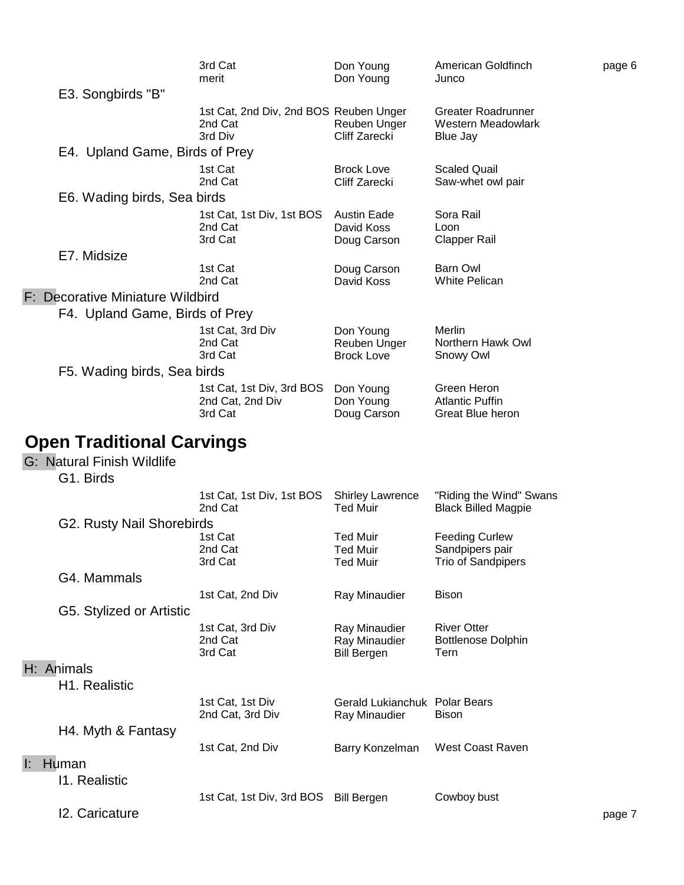|    |                                  | 3rd Cat<br>merit                                             | Don Young<br>Don Young                                | American Goldfinch<br>Junco                                    | page 6 |
|----|----------------------------------|--------------------------------------------------------------|-------------------------------------------------------|----------------------------------------------------------------|--------|
|    | E3. Songbirds "B"                |                                                              |                                                       |                                                                |        |
|    |                                  | 1st Cat, 2nd Div, 2nd BOS Reuben Unger<br>2nd Cat<br>3rd Div | Reuben Unger<br>Cliff Zarecki                         | Greater Roadrunner<br>Western Meadowlark<br>Blue Jay           |        |
|    | E4. Upland Game, Birds of Prey   |                                                              |                                                       |                                                                |        |
|    |                                  | 1st Cat<br>2nd Cat                                           | <b>Brock Love</b><br>Cliff Zarecki                    | <b>Scaled Quail</b><br>Saw-whet owl pair                       |        |
|    | E6. Wading birds, Sea birds      |                                                              |                                                       |                                                                |        |
|    |                                  | 1st Cat, 1st Div, 1st BOS<br>2nd Cat<br>3rd Cat              | <b>Austin Eade</b><br>David Koss<br>Doug Carson       | Sora Rail<br>Loon<br><b>Clapper Rail</b>                       |        |
|    | E7. Midsize                      |                                                              |                                                       |                                                                |        |
|    |                                  | 1st Cat<br>2nd Cat                                           | Doug Carson<br>David Koss                             | Barn Owl<br><b>White Pelican</b>                               |        |
|    | F: Decorative Miniature Wildbird |                                                              |                                                       |                                                                |        |
|    | F4. Upland Game, Birds of Prey   |                                                              |                                                       |                                                                |        |
|    |                                  | 1st Cat, 3rd Div<br>2nd Cat<br>3rd Cat                       | Don Young<br>Reuben Unger<br><b>Brock Love</b>        | Merlin<br>Northern Hawk Owl<br>Snowy Owl                       |        |
|    | F5. Wading birds, Sea birds      |                                                              |                                                       |                                                                |        |
|    |                                  | 1st Cat, 1st Div, 3rd BOS<br>2nd Cat, 2nd Div<br>3rd Cat     | Don Young<br>Don Young<br>Doug Carson                 | Green Heron<br><b>Atlantic Puffin</b><br>Great Blue heron      |        |
|    |                                  |                                                              |                                                       |                                                                |        |
|    | <b>Open Traditional Carvings</b> |                                                              |                                                       |                                                                |        |
|    | G: Natural Finish Wildlife       |                                                              |                                                       |                                                                |        |
|    | G1. Birds                        |                                                              |                                                       |                                                                |        |
|    |                                  | 1st Cat, 1st Div, 1st BOS<br>2nd Cat                         | <b>Shirley Lawrence</b><br><b>Ted Muir</b>            | "Riding the Wind" Swans<br><b>Black Billed Magpie</b>          |        |
|    | G2. Rusty Nail Shorebirds        |                                                              |                                                       |                                                                |        |
|    |                                  | 1st Cat<br>2nd Cat<br>3rd Cat                                | <b>Ted Muir</b><br><b>Ted Muir</b><br><b>Ted Muir</b> | <b>Feeding Curlew</b><br>Sandpipers pair<br>Trio of Sandpipers |        |
|    | G4. Mammals                      |                                                              |                                                       |                                                                |        |
|    |                                  | 1st Cat, 2nd Div                                             | Ray Minaudier                                         | <b>Bison</b>                                                   |        |
|    | G5. Stylized or Artistic         |                                                              |                                                       |                                                                |        |
|    |                                  | 1st Cat, 3rd Div<br>2nd Cat<br>3rd Cat                       | Ray Minaudier<br>Ray Minaudier<br><b>Bill Bergen</b>  | <b>River Otter</b><br><b>Bottlenose Dolphin</b><br>Tern        |        |
|    | H: Animals                       |                                                              |                                                       |                                                                |        |
|    | H1. Realistic                    |                                                              |                                                       |                                                                |        |
|    |                                  | 1st Cat, 1st Div<br>2nd Cat, 3rd Div                         | Gerald Lukianchuk Polar Bears<br>Ray Minaudier        | <b>Bison</b>                                                   |        |
|    | H4. Myth & Fantasy               |                                                              |                                                       |                                                                |        |
|    |                                  | 1st Cat, 2nd Div                                             | Barry Konzelman                                       | West Coast Raven                                               |        |
| ŀ. | Human                            |                                                              |                                                       |                                                                |        |
|    | 11. Realistic                    |                                                              |                                                       |                                                                |        |
|    | 12. Caricature                   | 1st Cat, 1st Div, 3rd BOS Bill Bergen                        |                                                       | Cowboy bust                                                    | page 7 |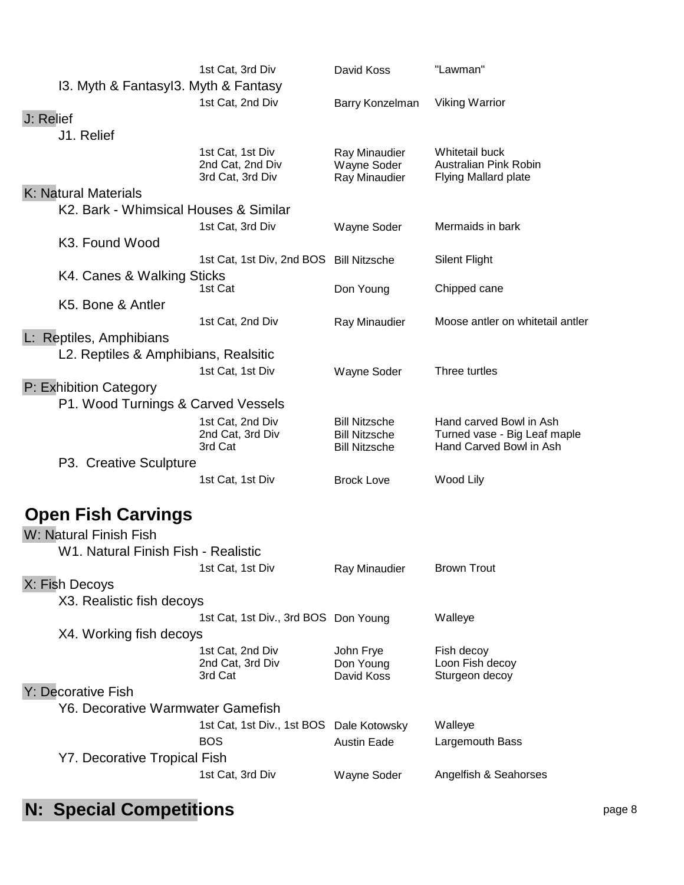|                                       | 1st Cat, 3rd Div                     | David Koss                                   | "Lawman"                                                |
|---------------------------------------|--------------------------------------|----------------------------------------------|---------------------------------------------------------|
| I3. Myth & Fantasyl3. Myth & Fantasy  |                                      |                                              |                                                         |
|                                       | 1st Cat, 2nd Div                     | Barry Konzelman                              | <b>Viking Warrior</b>                                   |
| J: Relief                             |                                      |                                              |                                                         |
| J1. Relief                            |                                      |                                              |                                                         |
|                                       | 1st Cat, 1st Div                     | Ray Minaudier                                | Whitetail buck                                          |
|                                       | 2nd Cat, 2nd Div<br>3rd Cat, 3rd Div | Wayne Soder<br>Ray Minaudier                 | Australian Pink Robin<br>Flying Mallard plate           |
| K: Natural Materials                  |                                      |                                              |                                                         |
| K2. Bark - Whimsical Houses & Similar |                                      |                                              |                                                         |
|                                       | 1st Cat, 3rd Div                     | Wayne Soder                                  | Mermaids in bark                                        |
| K3. Found Wood                        |                                      |                                              |                                                         |
|                                       | 1st Cat, 1st Div, 2nd BOS            | <b>Bill Nitzsche</b>                         | <b>Silent Flight</b>                                    |
| K4. Canes & Walking Sticks            |                                      |                                              |                                                         |
|                                       | 1st Cat                              | Don Young                                    | Chipped cane                                            |
| K5. Bone & Antler                     |                                      |                                              |                                                         |
|                                       | 1st Cat, 2nd Div                     | Ray Minaudier                                | Moose antler on whitetail antler                        |
| L: Reptiles, Amphibians               |                                      |                                              |                                                         |
| L2. Reptiles & Amphibians, Realsitic  |                                      |                                              |                                                         |
|                                       | 1st Cat, 1st Div                     | Wayne Soder                                  | Three turtles                                           |
| P: Exhibition Category                |                                      |                                              |                                                         |
| P1. Wood Turnings & Carved Vessels    |                                      |                                              |                                                         |
|                                       |                                      |                                              |                                                         |
|                                       | 1st Cat, 2nd Div<br>2nd Cat, 3rd Div | <b>Bill Nitzsche</b><br><b>Bill Nitzsche</b> | Hand carved Bowl in Ash<br>Turned vase - Big Leaf maple |
|                                       | 3rd Cat                              | <b>Bill Nitzsche</b>                         | Hand Carved Bowl in Ash                                 |
| P3. Creative Sculpture                |                                      |                                              |                                                         |
|                                       | 1st Cat, 1st Div                     | <b>Brock Love</b>                            | Wood Lily                                               |
|                                       |                                      |                                              |                                                         |
| <b>Open Fish Carvings</b>             |                                      |                                              |                                                         |
| W: Natural Finish Fish                |                                      |                                              |                                                         |
|                                       |                                      |                                              |                                                         |
| W1. Natural Finish Fish - Realistic   |                                      |                                              |                                                         |
|                                       | 1st Cat, 1st Div                     | Ray Minaudier                                | <b>Brown Trout</b>                                      |
| X: Fish Decoys                        |                                      |                                              |                                                         |
| X3. Realistic fish decoys             |                                      |                                              |                                                         |
|                                       | 1st Cat, 1st Div., 3rd BOS Don Young |                                              | Walleye                                                 |
| X4. Working fish decoys               |                                      |                                              |                                                         |
|                                       | 1st Cat, 2nd Div                     | John Frye                                    | Fish decoy                                              |
|                                       | 2nd Cat, 3rd Div<br>3rd Cat          | Don Young<br>David Koss                      | Loon Fish decoy<br>Sturgeon decoy                       |
| Y: Decorative Fish                    |                                      |                                              |                                                         |
| Y6. Decorative Warmwater Gamefish     |                                      |                                              |                                                         |
|                                       | 1st Cat, 1st Div., 1st BOS           | Dale Kotowsky                                | Walleye                                                 |
|                                       | <b>BOS</b>                           | <b>Austin Eade</b>                           | Largemouth Bass                                         |
| Y7. Decorative Tropical Fish          |                                      |                                              |                                                         |
|                                       | 1st Cat, 3rd Div                     | Wayne Soder                                  | Angelfish & Seahorses                                   |
|                                       |                                      |                                              |                                                         |

# **N: Special Competitions N: Special Competitions**